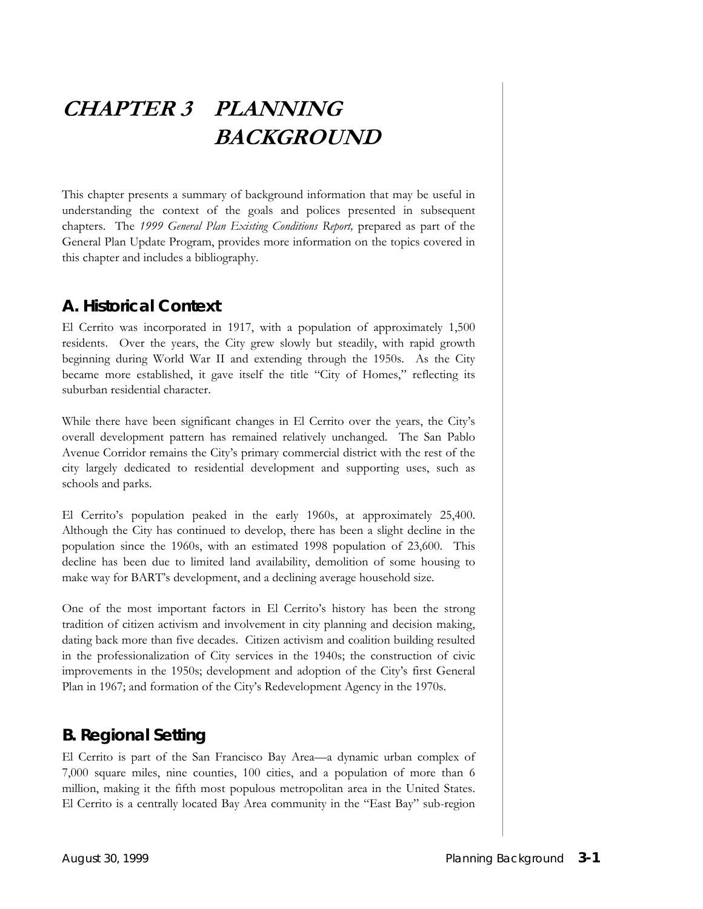# **CHAPTER 3 PLANNING BACKGROUND**

This chapter presents a summary of background information that may be useful in understanding the context of the goals and polices presented in subsequent chapters. The *1999 General Plan Existing Conditions Report,* prepared as part of the General Plan Update Program, provides more information on the topics covered in this chapter and includes a bibliography.

#### **A. Historical Context**

El Cerrito was incorporated in 1917, with a population of approximately 1,500 residents. Over the years, the City grew slowly but steadily, with rapid growth beginning during World War II and extending through the 1950s. As the City became more established, it gave itself the title "City of Homes," reflecting its suburban residential character.

While there have been significant changes in El Cerrito over the years, the City's overall development pattern has remained relatively unchanged. The San Pablo Avenue Corridor remains the City's primary commercial district with the rest of the city largely dedicated to residential development and supporting uses, such as schools and parks.

El Cerrito's population peaked in the early 1960s, at approximately 25,400. Although the City has continued to develop, there has been a slight decline in the population since the 1960s, with an estimated 1998 population of 23,600. This decline has been due to limited land availability, demolition of some housing to make way for BART's development, and a declining average household size.

One of the most important factors in El Cerrito's history has been the strong tradition of citizen activism and involvement in city planning and decision making, dating back more than five decades. Citizen activism and coalition building resulted in the professionalization of City services in the 1940s; the construction of civic improvements in the 1950s; development and adoption of the City's first General Plan in 1967; and formation of the City's Redevelopment Agency in the 1970s.

#### **B. Regional Setting**

El Cerrito is part of the San Francisco Bay Area—a dynamic urban complex of 7,000 square miles, nine counties, 100 cities, and a population of more than 6 million, making it the fifth most populous metropolitan area in the United States. El Cerrito is a centrally located Bay Area community in the "East Bay" sub-region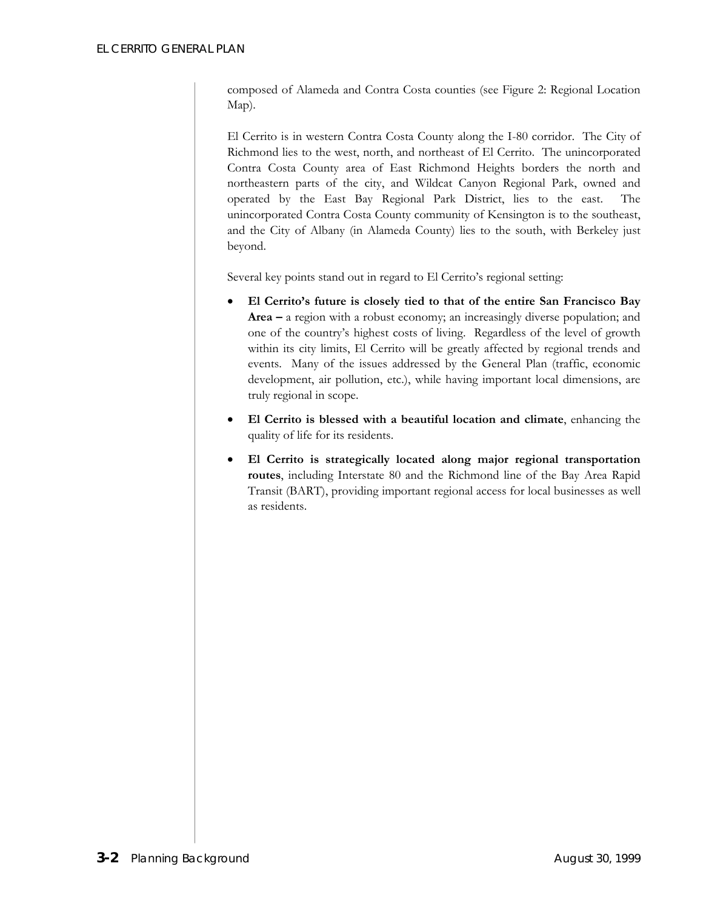composed of Alameda and Contra Costa counties (see Figure 2: Regional Location Map).

El Cerrito is in western Contra Costa County along the I-80 corridor. The City of Richmond lies to the west, north, and northeast of El Cerrito. The unincorporated Contra Costa County area of East Richmond Heights borders the north and northeastern parts of the city, and Wildcat Canyon Regional Park, owned and operated by the East Bay Regional Park District, lies to the east. The unincorporated Contra Costa County community of Kensington is to the southeast, and the City of Albany (in Alameda County) lies to the south, with Berkeley just beyond.

Several key points stand out in regard to El Cerrito's regional setting:

- **El Cerrito's future is closely tied to that of the entire San Francisco Bay Area –** a region with a robust economy; an increasingly diverse population; and one of the country's highest costs of living. Regardless of the level of growth within its city limits, El Cerrito will be greatly affected by regional trends and events. Many of the issues addressed by the General Plan (traffic, economic development, air pollution, etc.), while having important local dimensions, are truly regional in scope.
- **El Cerrito is blessed with a beautiful location and climate**, enhancing the quality of life for its residents.
- **El Cerrito is strategically located along major regional transportation routes**, including Interstate 80 and the Richmond line of the Bay Area Rapid Transit (BART), providing important regional access for local businesses as well as residents.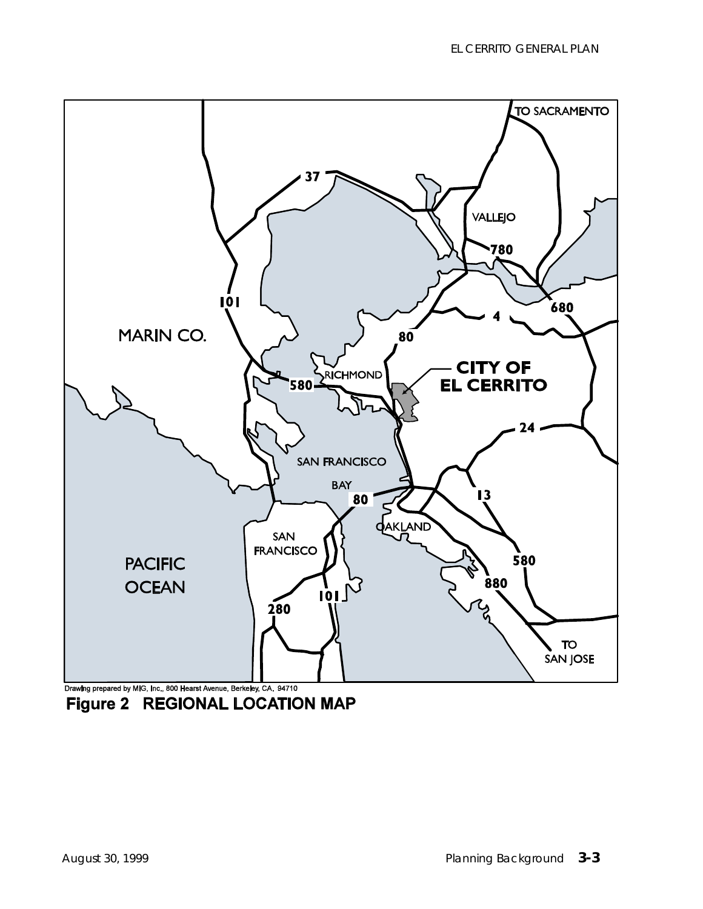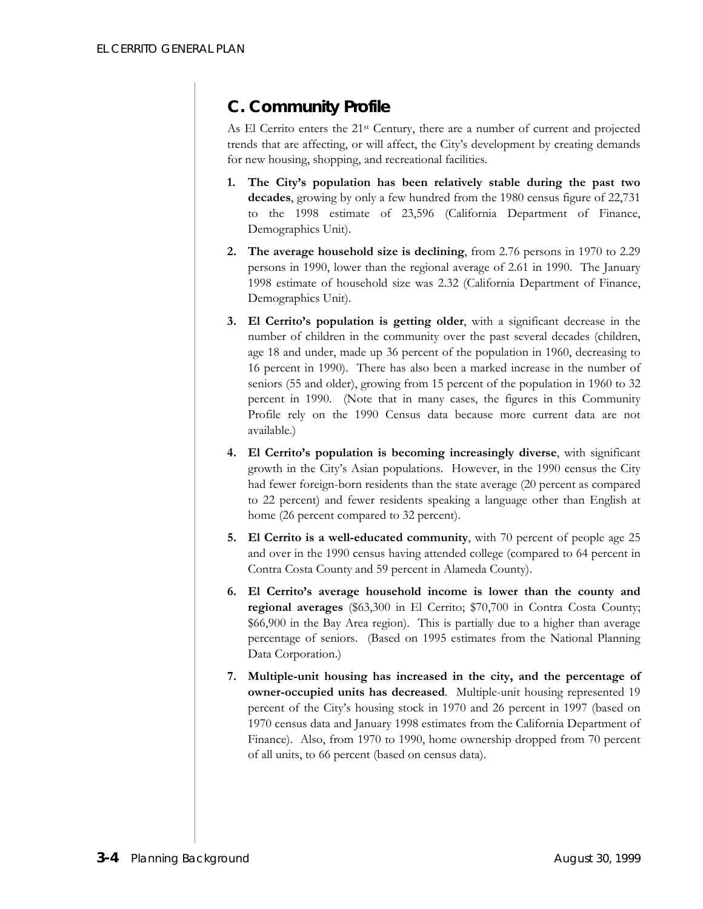# **C. Community Profile**

As El Cerrito enters the 21st Century, there are a number of current and projected trends that are affecting, or will affect, the City's development by creating demands for new housing, shopping, and recreational facilities.

- **1. The City's population has been relatively stable during the past two decades**, growing by only a few hundred from the 1980 census figure of 22,731 to the 1998 estimate of 23,596 (California Department of Finance, Demographics Unit).
- **2. The average household size is declining**, from 2.76 persons in 1970 to 2.29 persons in 1990, lower than the regional average of 2.61 in 1990. The January 1998 estimate of household size was 2.32 (California Department of Finance, Demographics Unit).
- **3. El Cerrito's population is getting older**, with a significant decrease in the number of children in the community over the past several decades (children, age 18 and under, made up 36 percent of the population in 1960, decreasing to 16 percent in 1990). There has also been a marked increase in the number of seniors (55 and older), growing from 15 percent of the population in 1960 to 32 percent in 1990. (Note that in many cases, the figures in this Community Profile rely on the 1990 Census data because more current data are not available.)
- **4. El Cerrito's population is becoming increasingly diverse**, with significant growth in the City's Asian populations. However, in the 1990 census the City had fewer foreign-born residents than the state average (20 percent as compared to 22 percent) and fewer residents speaking a language other than English at home (26 percent compared to 32 percent).
- **5. El Cerrito is a well-educated community**, with 70 percent of people age 25 and over in the 1990 census having attended college (compared to 64 percent in Contra Costa County and 59 percent in Alameda County).
- **6. El Cerrito's average household income is lower than the county and regional averages** (\$63,300 in El Cerrito; \$70,700 in Contra Costa County; \$66,900 in the Bay Area region). This is partially due to a higher than average percentage of seniors. (Based on 1995 estimates from the National Planning Data Corporation.)
- **7. Multiple-unit housing has increased in the city, and the percentage of owner-occupied units has decreased**. Multiple-unit housing represented 19 percent of the City's housing stock in 1970 and 26 percent in 1997 (based on 1970 census data and January 1998 estimates from the California Department of Finance). Also, from 1970 to 1990, home ownership dropped from 70 percent of all units, to 66 percent (based on census data).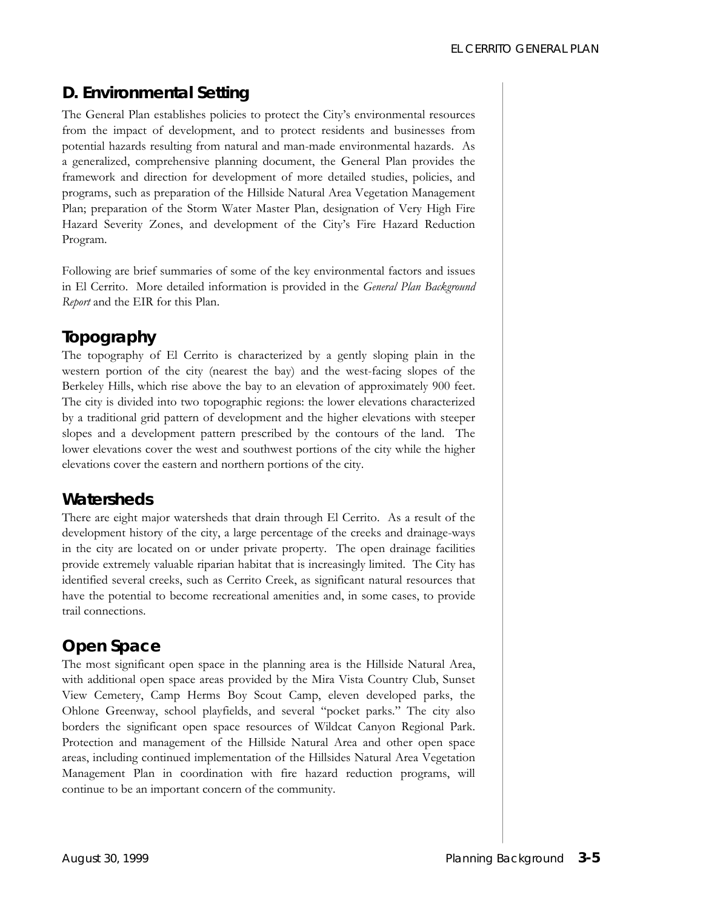# **D. Environmental Setting**

The General Plan establishes policies to protect the City's environmental resources from the impact of development, and to protect residents and businesses from potential hazards resulting from natural and man-made environmental hazards. As a generalized, comprehensive planning document, the General Plan provides the framework and direction for development of more detailed studies, policies, and programs, such as preparation of the Hillside Natural Area Vegetation Management Plan; preparation of the Storm Water Master Plan, designation of Very High Fire Hazard Severity Zones, and development of the City's Fire Hazard Reduction Program.

Following are brief summaries of some of the key environmental factors and issues in El Cerrito. More detailed information is provided in the *General Plan Background Report* and the EIR for this Plan.

## *Topography*

The topography of El Cerrito is characterized by a gently sloping plain in the western portion of the city (nearest the bay) and the west-facing slopes of the Berkeley Hills, which rise above the bay to an elevation of approximately 900 feet. The city is divided into two topographic regions: the lower elevations characterized by a traditional grid pattern of development and the higher elevations with steeper slopes and a development pattern prescribed by the contours of the land. The lower elevations cover the west and southwest portions of the city while the higher elevations cover the eastern and northern portions of the city.

## *Watersheds*

There are eight major watersheds that drain through El Cerrito. As a result of the development history of the city, a large percentage of the creeks and drainage-ways in the city are located on or under private property. The open drainage facilities provide extremely valuable riparian habitat that is increasingly limited. The City has identified several creeks, such as Cerrito Creek, as significant natural resources that have the potential to become recreational amenities and, in some cases, to provide trail connections.

# *Open Space*

The most significant open space in the planning area is the Hillside Natural Area, with additional open space areas provided by the Mira Vista Country Club, Sunset View Cemetery, Camp Herms Boy Scout Camp, eleven developed parks, the Ohlone Greenway, school playfields, and several "pocket parks." The city also borders the significant open space resources of Wildcat Canyon Regional Park. Protection and management of the Hillside Natural Area and other open space areas, including continued implementation of the Hillsides Natural Area Vegetation Management Plan in coordination with fire hazard reduction programs, will continue to be an important concern of the community.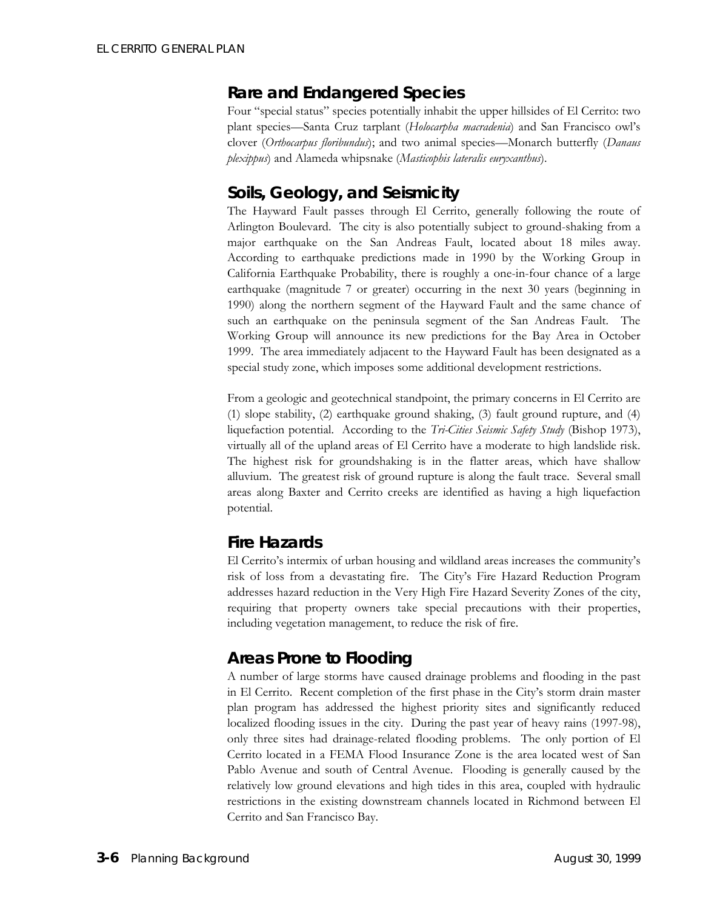#### *Rare and Endangered Species*

Four "special status" species potentially inhabit the upper hillsides of El Cerrito: two plant species—Santa Cruz tarplant (*Holocarpha macradenia*) and San Francisco owl's clover (*Orthocarpus floribundus*); and two animal species—Monarch butterfly (*Danaus plexippus*) and Alameda whipsnake (*Masticophis lateralis euryxanthus*).

#### *Soils, Geology, and Seismicity*

The Hayward Fault passes through El Cerrito, generally following the route of Arlington Boulevard. The city is also potentially subject to ground-shaking from a major earthquake on the San Andreas Fault, located about 18 miles away. According to earthquake predictions made in 1990 by the Working Group in California Earthquake Probability, there is roughly a one-in-four chance of a large earthquake (magnitude 7 or greater) occurring in the next 30 years (beginning in 1990) along the northern segment of the Hayward Fault and the same chance of such an earthquake on the peninsula segment of the San Andreas Fault. The Working Group will announce its new predictions for the Bay Area in October 1999. The area immediately adjacent to the Hayward Fault has been designated as a special study zone, which imposes some additional development restrictions.

From a geologic and geotechnical standpoint, the primary concerns in El Cerrito are (1) slope stability, (2) earthquake ground shaking, (3) fault ground rupture, and (4) liquefaction potential. According to the *Tri-Cities Seismic Safety Study* (Bishop 1973), virtually all of the upland areas of El Cerrito have a moderate to high landslide risk. The highest risk for groundshaking is in the flatter areas, which have shallow alluvium. The greatest risk of ground rupture is along the fault trace. Several small areas along Baxter and Cerrito creeks are identified as having a high liquefaction potential.

## *Fire Hazards*

El Cerrito's intermix of urban housing and wildland areas increases the community's risk of loss from a devastating fire. The City's Fire Hazard Reduction Program addresses hazard reduction in the Very High Fire Hazard Severity Zones of the city, requiring that property owners take special precautions with their properties, including vegetation management, to reduce the risk of fire.

## *Areas Prone to Flooding*

A number of large storms have caused drainage problems and flooding in the past in El Cerrito. Recent completion of the first phase in the City's storm drain master plan program has addressed the highest priority sites and significantly reduced localized flooding issues in the city. During the past year of heavy rains (1997-98), only three sites had drainage-related flooding problems. The only portion of El Cerrito located in a FEMA Flood Insurance Zone is the area located west of San Pablo Avenue and south of Central Avenue. Flooding is generally caused by the relatively low ground elevations and high tides in this area, coupled with hydraulic restrictions in the existing downstream channels located in Richmond between El Cerrito and San Francisco Bay.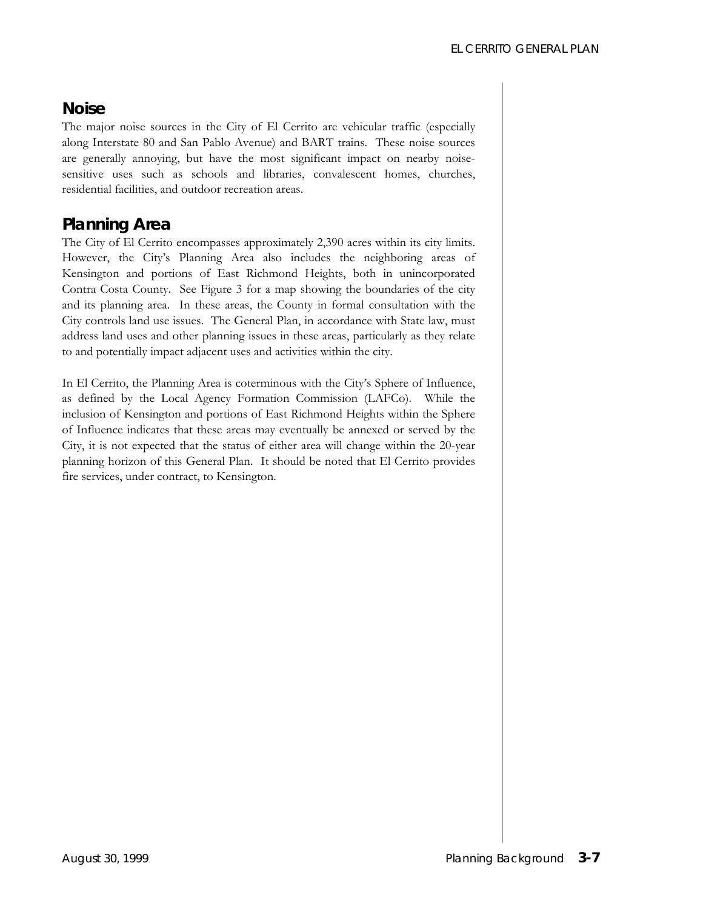## *Noise*

The major noise sources in the City of El Cerrito are vehicular traffic (especially along Interstate 80 and San Pablo Avenue) and BART trains. These noise sources are generally annoying, but have the most significant impact on nearby noisesensitive uses such as schools and libraries, convalescent homes, churches, residential facilities, and outdoor recreation areas.

## *Planning Area*

The City of El Cerrito encompasses approximately 2,390 acres within its city limits. However, the City's Planning Area also includes the neighboring areas of Kensington and portions of East Richmond Heights, both in unincorporated Contra Costa County. See Figure 3 for a map showing the boundaries of the city and its planning area. In these areas, the County in formal consultation with the City controls land use issues. The General Plan, in accordance with State law, must address land uses and other planning issues in these areas, particularly as they relate to and potentially impact adjacent uses and activities within the city.

In El Cerrito, the Planning Area is coterminous with the City's Sphere of Influence, as defined by the Local Agency Formation Commission (LAFCo). While the inclusion of Kensington and portions of East Richmond Heights within the Sphere of Influence indicates that these areas may eventually be annexed or served by the City, it is not expected that the status of either area will change within the 20-year planning horizon of this General Plan. It should be noted that El Cerrito provides fire services, under contract, to Kensington.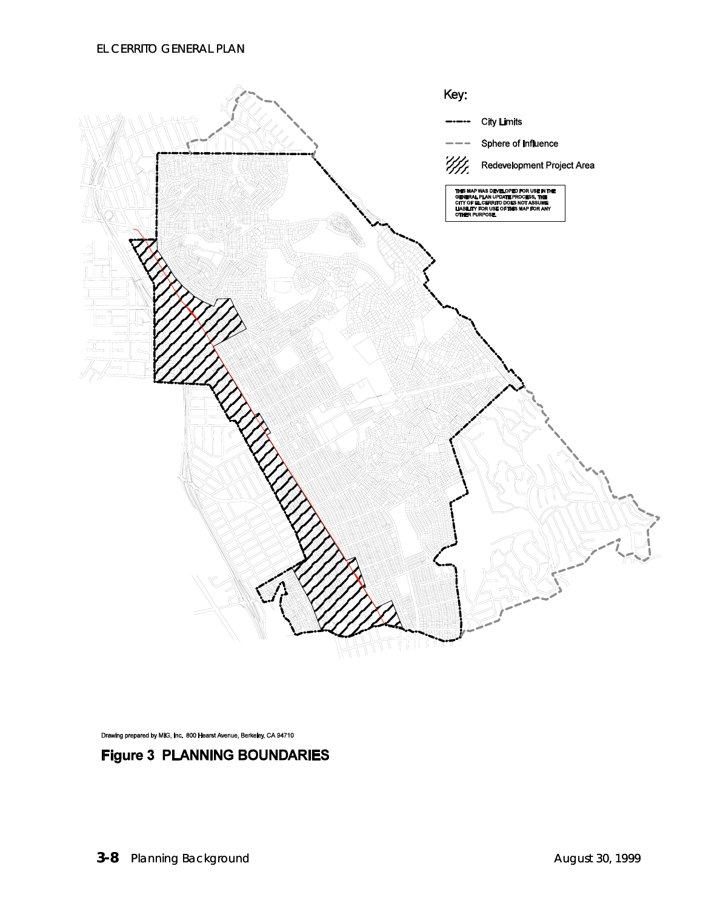

Drawing prepared by MIG, Inc. 800 Hearst Avenue, Berkeley, CA 94710

#### **Figure 3 PLANNING BOUNDARIES**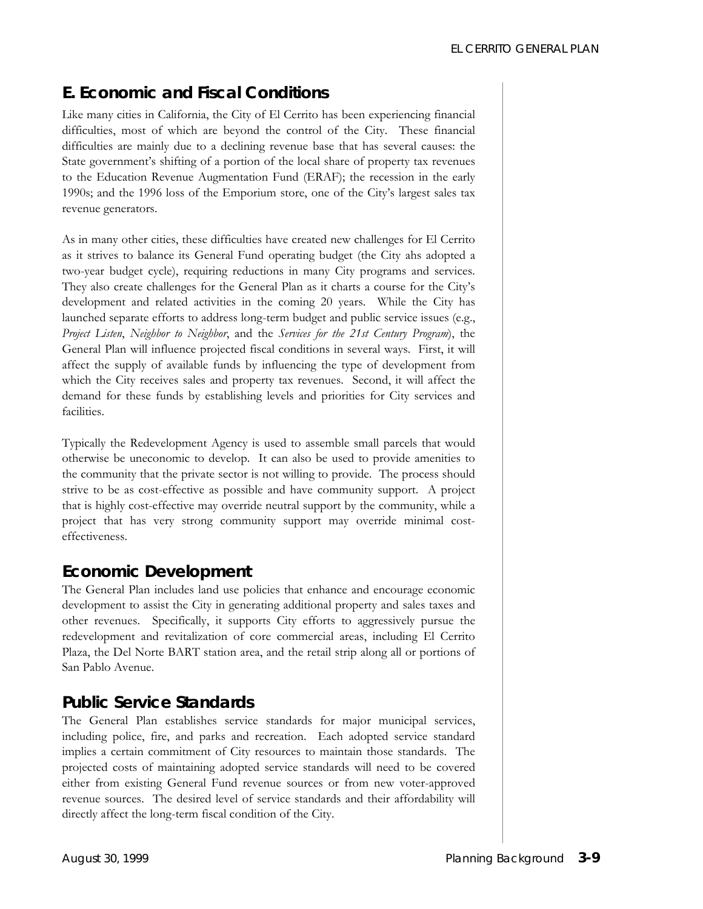# **E. Economic and Fiscal Conditions**

Like many cities in California, the City of El Cerrito has been experiencing financial difficulties, most of which are beyond the control of the City. These financial difficulties are mainly due to a declining revenue base that has several causes: the State government's shifting of a portion of the local share of property tax revenues to the Education Revenue Augmentation Fund (ERAF); the recession in the early 1990s; and the 1996 loss of the Emporium store, one of the City's largest sales tax revenue generators.

As in many other cities, these difficulties have created new challenges for El Cerrito as it strives to balance its General Fund operating budget (the City ahs adopted a two-year budget cycle), requiring reductions in many City programs and services. They also create challenges for the General Plan as it charts a course for the City's development and related activities in the coming 20 years. While the City has launched separate efforts to address long-term budget and public service issues (e.g., *Project Listen*, *Neighbor to Neighbor*, and the *Services for the 21st Century Program*), the General Plan will influence projected fiscal conditions in several ways. First, it will affect the supply of available funds by influencing the type of development from which the City receives sales and property tax revenues. Second, it will affect the demand for these funds by establishing levels and priorities for City services and facilities.

Typically the Redevelopment Agency is used to assemble small parcels that would otherwise be uneconomic to develop. It can also be used to provide amenities to the community that the private sector is not willing to provide. The process should strive to be as cost-effective as possible and have community support. A project that is highly cost-effective may override neutral support by the community, while a project that has very strong community support may override minimal costeffectiveness.

#### *Economic Development*

The General Plan includes land use policies that enhance and encourage economic development to assist the City in generating additional property and sales taxes and other revenues. Specifically, it supports City efforts to aggressively pursue the redevelopment and revitalization of core commercial areas, including El Cerrito Plaza, the Del Norte BART station area, and the retail strip along all or portions of San Pablo Avenue.

## *Public Service Standards*

The General Plan establishes service standards for major municipal services, including police, fire, and parks and recreation. Each adopted service standard implies a certain commitment of City resources to maintain those standards. The projected costs of maintaining adopted service standards will need to be covered either from existing General Fund revenue sources or from new voter-approved revenue sources. The desired level of service standards and their affordability will directly affect the long-term fiscal condition of the City.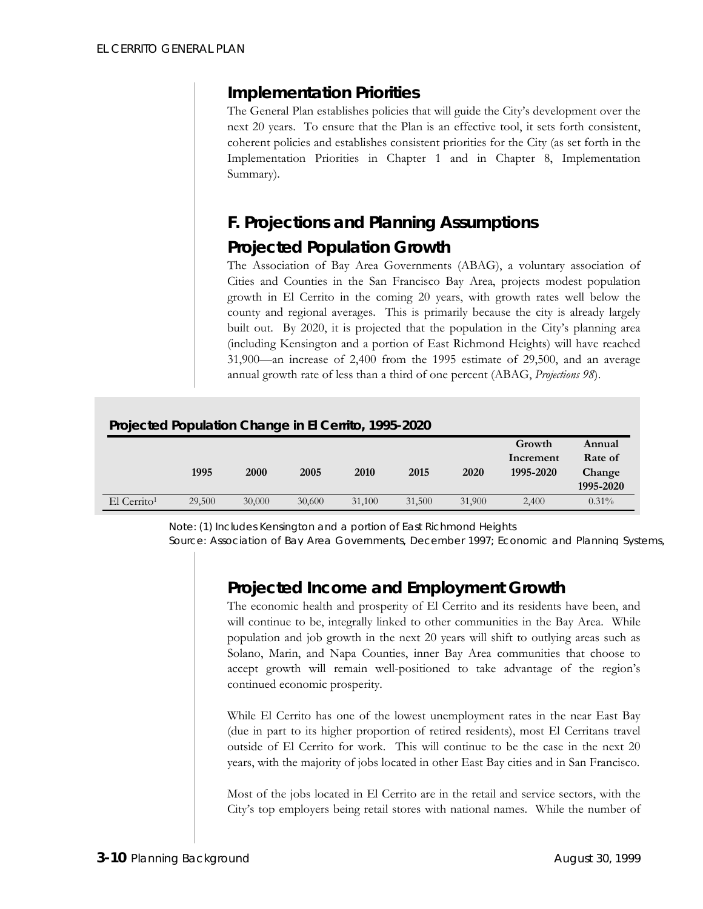#### *Implementation Priorities*

The General Plan establishes policies that will guide the City's development over the next 20 years. To ensure that the Plan is an effective tool, it sets forth consistent, coherent policies and establishes consistent priorities for the City (as set forth in the Implementation Priorities in Chapter 1 and in Chapter 8, Implementation Summary).

# **F. Projections and Planning Assumptions**

#### *Projected Population Growth*

The Association of Bay Area Governments (ABAG), a voluntary association of Cities and Counties in the San Francisco Bay Area, projects modest population growth in El Cerrito in the coming 20 years, with growth rates well below the county and regional averages. This is primarily because the city is already largely built out. By 2020, it is projected that the population in the City's planning area (including Kensington and a portion of East Richmond Heights) will have reached 31,900—an increase of 2,400 from the 1995 estimate of 29,500, and an average annual growth rate of less than a third of one percent (ABAG, *Projections 98*).

| Projected Population Change in El Cerrito, 1995-2020 |        |        |        |        |        |        |                     |                   |
|------------------------------------------------------|--------|--------|--------|--------|--------|--------|---------------------|-------------------|
|                                                      |        |        |        |        |        |        | Growth<br>Increment | Annual<br>Rate of |
|                                                      | 1995   | 2000   | 2005   | 2010   | 2015   | 2020   | 1995-2020           | Change            |
|                                                      |        |        |        |        |        |        |                     | 1995-2020         |
| El Cerrito <sup>1</sup>                              | 29,500 | 30,000 | 30,600 | 31,100 | 31,500 | 31,900 | 2.400               | $0.31\%$          |

*Note: (1) Includes Kensington and a portion of East Richmond Heights* 

*Source: Association of Bay Area Governments, December 1997; Economic and Planning Systems,*

#### *Projected Income and Employment Growth*

The economic health and prosperity of El Cerrito and its residents have been, and will continue to be, integrally linked to other communities in the Bay Area. While population and job growth in the next 20 years will shift to outlying areas such as Solano, Marin, and Napa Counties, inner Bay Area communities that choose to accept growth will remain well-positioned to take advantage of the region's continued economic prosperity.

While El Cerrito has one of the lowest unemployment rates in the near East Bay (due in part to its higher proportion of retired residents), most El Cerritans travel outside of El Cerrito for work. This will continue to be the case in the next 20 years, with the majority of jobs located in other East Bay cities and in San Francisco.

Most of the jobs located in El Cerrito are in the retail and service sectors, with the City's top employers being retail stores with national names. While the number of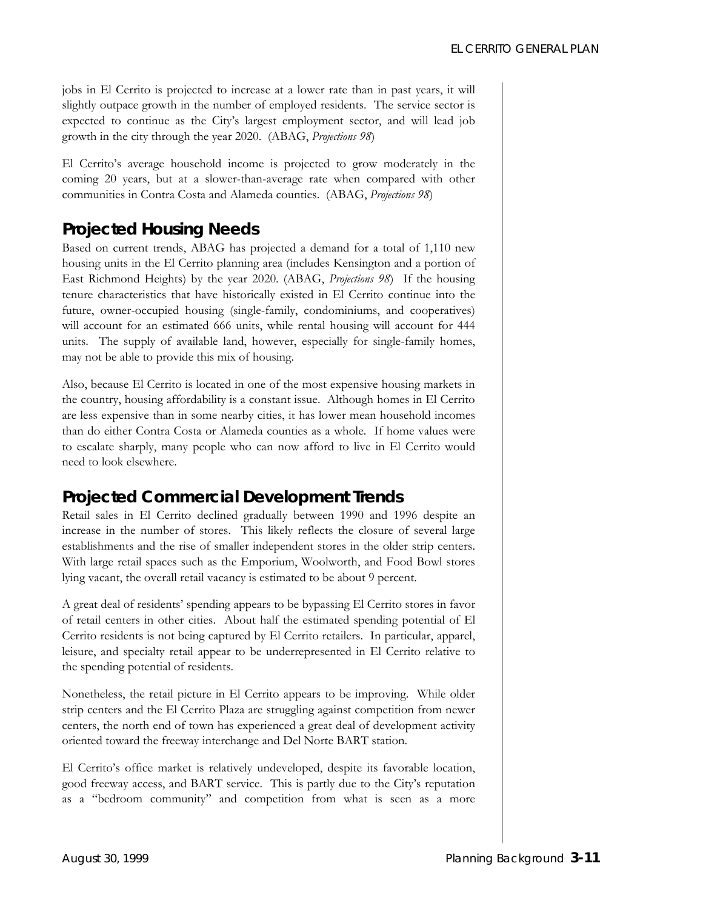jobs in El Cerrito is projected to increase at a lower rate than in past years, it will slightly outpace growth in the number of employed residents. The service sector is expected to continue as the City's largest employment sector, and will lead job growth in the city through the year 2020. (ABAG, *Projections 98*)

El Cerrito's average household income is projected to grow moderately in the coming 20 years, but at a slower-than-average rate when compared with other communities in Contra Costa and Alameda counties. (ABAG, *Projections 98*)

## *Projected Housing Needs*

Based on current trends, ABAG has projected a demand for a total of 1,110 new housing units in the El Cerrito planning area (includes Kensington and a portion of East Richmond Heights) by the year 2020. (ABAG, *Projections 98*) If the housing tenure characteristics that have historically existed in El Cerrito continue into the future, owner-occupied housing (single-family, condominiums, and cooperatives) will account for an estimated 666 units, while rental housing will account for 444 units. The supply of available land, however, especially for single-family homes, may not be able to provide this mix of housing.

Also, because El Cerrito is located in one of the most expensive housing markets in the country, housing affordability is a constant issue. Although homes in El Cerrito are less expensive than in some nearby cities, it has lower mean household incomes than do either Contra Costa or Alameda counties as a whole. If home values were to escalate sharply, many people who can now afford to live in El Cerrito would need to look elsewhere.

# *Projected Commercial Development Trends*

Retail sales in El Cerrito declined gradually between 1990 and 1996 despite an increase in the number of stores. This likely reflects the closure of several large establishments and the rise of smaller independent stores in the older strip centers. With large retail spaces such as the Emporium, Woolworth, and Food Bowl stores lying vacant, the overall retail vacancy is estimated to be about 9 percent.

A great deal of residents' spending appears to be bypassing El Cerrito stores in favor of retail centers in other cities. About half the estimated spending potential of El Cerrito residents is not being captured by El Cerrito retailers. In particular, apparel, leisure, and specialty retail appear to be underrepresented in El Cerrito relative to the spending potential of residents.

Nonetheless, the retail picture in El Cerrito appears to be improving. While older strip centers and the El Cerrito Plaza are struggling against competition from newer centers, the north end of town has experienced a great deal of development activity oriented toward the freeway interchange and Del Norte BART station.

El Cerrito's office market is relatively undeveloped, despite its favorable location, good freeway access, and BART service. This is partly due to the City's reputation as a "bedroom community" and competition from what is seen as a more